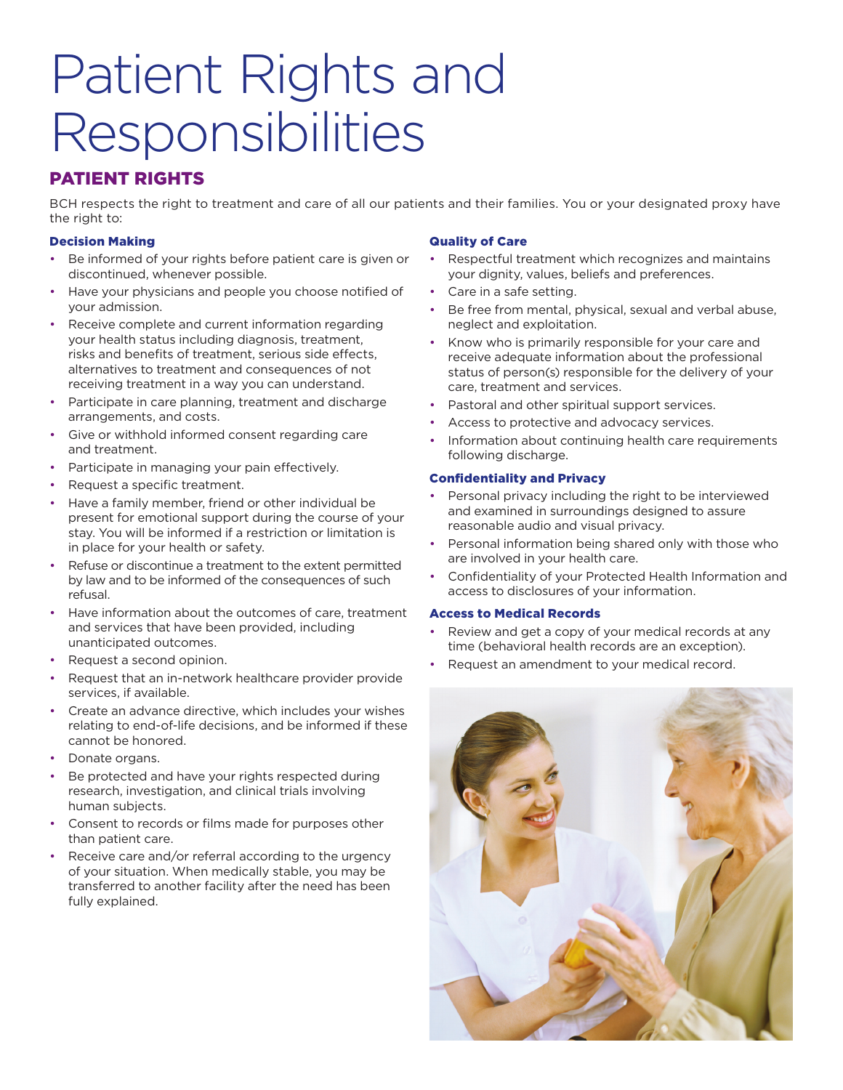# Patient Rights and Responsibilities

# PATIENT RIGHTS

BCH respects the right to treatment and care of all our patients and their families. You or your designated proxy have the right to:

## Decision Making

- Be informed of your rights before patient care is given or discontinued, whenever possible.
- Have your physicians and people you choose notified of your admission.
- Receive complete and current information regarding your health status including diagnosis, treatment, risks and benefits of treatment, serious side effects, alternatives to treatment and consequences of not receiving treatment in a way you can understand.
- Participate in care planning, treatment and discharge arrangements, and costs.
- Give or withhold informed consent regarding care and treatment.
- Participate in managing your pain effectively.
- Request a specific treatment.
- Have a family member, friend or other individual be present for emotional support during the course of your stay. You will be informed if a restriction or limitation is in place for your health or safety.
- Refuse or discontinue a treatment to the extent permitted by law and to be informed of the consequences of such refusal.
- Have information about the outcomes of care, treatment and services that have been provided, including unanticipated outcomes.
- Request a second opinion.
- Request that an in-network healthcare provider provide services, if available.
- Create an advance directive, which includes your wishes relating to end-of-life decisions, and be informed if these cannot be honored.
- Donate organs.
- Be protected and have your rights respected during research, investigation, and clinical trials involving human subjects.
- Consent to records or films made for purposes other than patient care.
- Receive care and/or referral according to the urgency of your situation. When medically stable, you may be transferred to another facility after the need has been fully explained.

## Quality of Care

- Respectful treatment which recognizes and maintains your dignity, values, beliefs and preferences.
- Care in a safe setting.
- Be free from mental, physical, sexual and verbal abuse, neglect and exploitation.
- Know who is primarily responsible for your care and receive adequate information about the professional status of person(s) responsible for the delivery of your care, treatment and services.
- Pastoral and other spiritual support services.
- Access to protective and advocacy services.
- Information about continuing health care requirements following discharge.

## Confidentiality and Privacy

- Personal privacy including the right to be interviewed and examined in surroundings designed to assure reasonable audio and visual privacy.
- Personal information being shared only with those who are involved in your health care.
- Confidentiality of your Protected Health Information and access to disclosures of your information.

## Access to Medical Records

- Review and get a copy of your medical records at any time (behavioral health records are an exception).
- Request an amendment to your medical record.